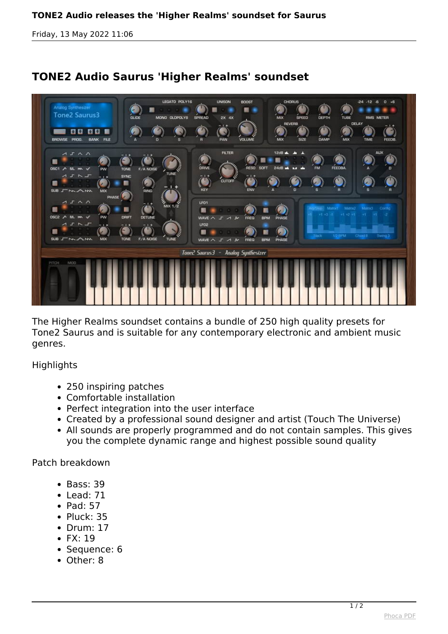*Friday, 13 May 2022 11:06*



## **TONE2 Audio Saurus 'Higher Realms' soundset**

*The Higher Realms soundset contains a bundle of 250 high quality presets for Tone2 Saurus and is suitable for any contemporary electronic and ambient music genres.*

## *Highlights*

- *250 inspiring patches*
- *Comfortable installation*
- *Perfect integration into the user interface*
- *Created by a professional sound designer and artist (Touch The Universe)*
- *All sounds are properly programmed and do not contain samples. This gives you the complete dynamic range and highest possible sound quality*

*Patch breakdown*

- *Bass: 39*
- *Lead: 71*
- *Pad: 57*
- *Pluck: 35*
- *Drum: 17*
- *FX: 19*
- *Sequence: 6*
- *Other: 8*